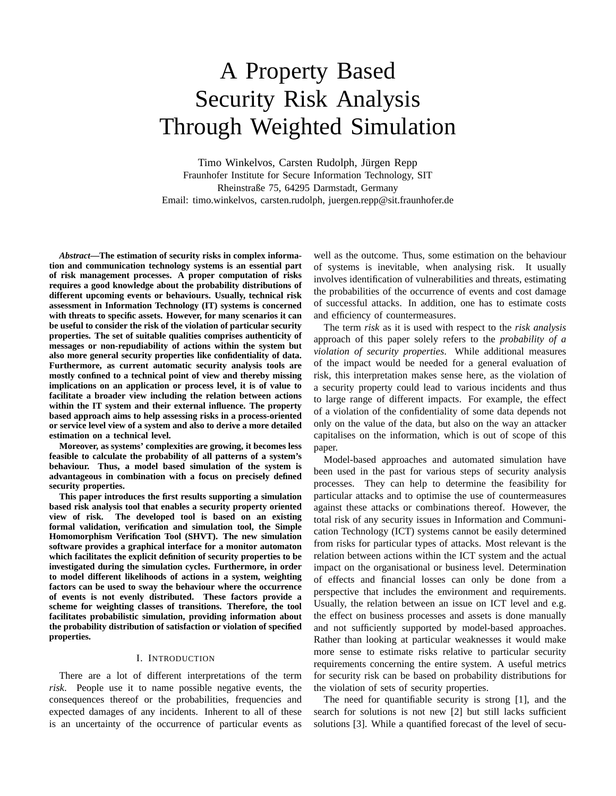# A Property Based Security Risk Analysis Through Weighted Simulation

Timo Winkelvos, Carsten Rudolph, Jürgen Repp Fraunhofer Institute for Secure Information Technology, SIT Rheinstraße 75, 64295 Darmstadt, Germany Email: timo.winkelvos, carsten.rudolph, juergen.repp@sit.fraunhofer.de

*Abstract***—The estimation of security risks in complex information and communication technology systems is an essential part of risk management processes. A proper computation of risks requires a good knowledge about the probability distributions of different upcoming events or behaviours. Usually, technical risk assessment in Information Technology (IT) systems is concerned with threats to specific assets. However, for many scenarios it can be useful to consider the risk of the violation of particular security properties. The set of suitable qualities comprises authenticity of messages or non-repudiability of actions within the system but also more general security properties like confidentiality of data. Furthermore, as current automatic security analysis tools are mostly confined to a technical point of view and thereby missing implications on an application or process level, it is of value to facilitate a broader view including the relation between actions within the IT system and their external influence. The property based approach aims to help assessing risks in a process-oriented or service level view of a system and also to derive a more detailed estimation on a technical level.**

**Moreover, as systems' complexities are growing, it becomes less feasible to calculate the probability of all patterns of a system's behaviour. Thus, a model based simulation of the system is advantageous in combination with a focus on precisely defined security properties.**

**This paper introduces the first results supporting a simulation based risk analysis tool that enables a security property oriented view of risk. The developed tool is based on an existing formal validation, verification and simulation tool, the Simple Homomorphism Verification Tool (SHVT). The new simulation software provides a graphical interface for a monitor automaton which facilitates the explicit definition of security properties to be investigated during the simulation cycles. Furthermore, in order to model different likelihoods of actions in a system, weighting factors can be used to sway the behaviour where the occurrence of events is not evenly distributed. These factors provide a scheme for weighting classes of transitions. Therefore, the tool facilitates probabilistic simulation, providing information about the probability distribution of satisfaction or violation of specified properties.**

## I. INTRODUCTION

There are a lot of different interpretations of the term *risk*. People use it to name possible negative events, the consequences thereof or the probabilities, frequencies and expected damages of any incidents. Inherent to all of these is an uncertainty of the occurrence of particular events as

well as the outcome. Thus, some estimation on the behaviour of systems is inevitable, when analysing risk. It usually involves identification of vulnerabilities and threats, estimating the probabilities of the occurrence of events and cost damage of successful attacks. In addition, one has to estimate costs and efficiency of countermeasures.

The term *risk* as it is used with respect to the *risk analysis* approach of this paper solely refers to the *probability of a violation of security properties*. While additional measures of the impact would be needed for a general evaluation of risk, this interpretation makes sense here, as the violation of a security property could lead to various incidents and thus to large range of different impacts. For example, the effect of a violation of the confidentiality of some data depends not only on the value of the data, but also on the way an attacker capitalises on the information, which is out of scope of this paper.

Model-based approaches and automated simulation have been used in the past for various steps of security analysis processes. They can help to determine the feasibility for particular attacks and to optimise the use of countermeasures against these attacks or combinations thereof. However, the total risk of any security issues in Information and Communication Technology (ICT) systems cannot be easily determined from risks for particular types of attacks. Most relevant is the relation between actions within the ICT system and the actual impact on the organisational or business level. Determination of effects and financial losses can only be done from a perspective that includes the environment and requirements. Usually, the relation between an issue on ICT level and e.g. the effect on business processes and assets is done manually and not sufficiently supported by model-based approaches. Rather than looking at particular weaknesses it would make more sense to estimate risks relative to particular security requirements concerning the entire system. A useful metrics for security risk can be based on probability distributions for the violation of sets of security properties.

The need for quantifiable security is strong [1], and the search for solutions is not new [2] but still lacks sufficient solutions [3]. While a quantified forecast of the level of secu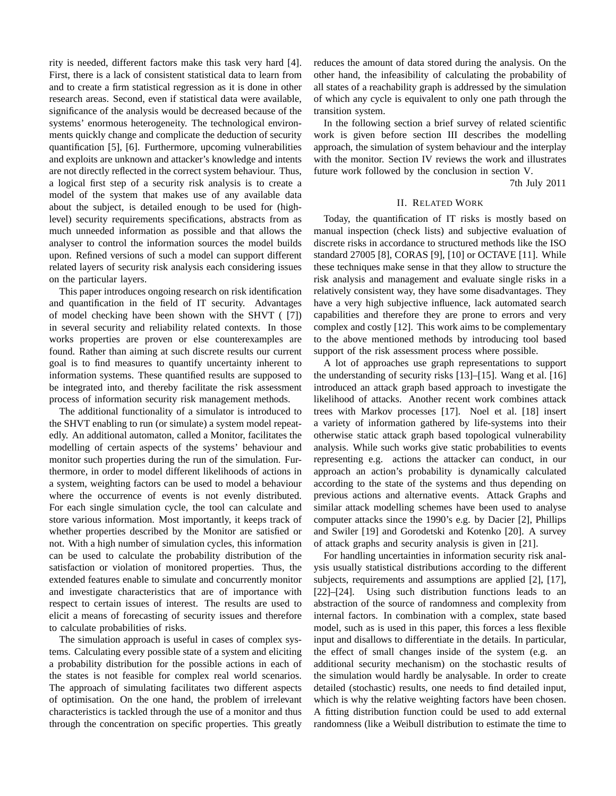rity is needed, different factors make this task very hard [4]. First, there is a lack of consistent statistical data to learn from and to create a firm statistical regression as it is done in other research areas. Second, even if statistical data were available, significance of the analysis would be decreased because of the systems' enormous heterogeneity. The technological environments quickly change and complicate the deduction of security quantification [5], [6]. Furthermore, upcoming vulnerabilities and exploits are unknown and attacker's knowledge and intents are not directly reflected in the correct system behaviour. Thus, a logical first step of a security risk analysis is to create a model of the system that makes use of any available data about the subject, is detailed enough to be used for (highlevel) security requirements specifications, abstracts from as much unneeded information as possible and that allows the analyser to control the information sources the model builds upon. Refined versions of such a model can support different related layers of security risk analysis each considering issues on the particular layers.

This paper introduces ongoing research on risk identification and quantification in the field of IT security. Advantages of model checking have been shown with the SHVT ( [7]) in several security and reliability related contexts. In those works properties are proven or else counterexamples are found. Rather than aiming at such discrete results our current goal is to find measures to quantify uncertainty inherent to information systems. These quantified results are supposed to be integrated into, and thereby facilitate the risk assessment process of information security risk management methods.

The additional functionality of a simulator is introduced to the SHVT enabling to run (or simulate) a system model repeatedly. An additional automaton, called a Monitor, facilitates the modelling of certain aspects of the systems' behaviour and monitor such properties during the run of the simulation. Furthermore, in order to model different likelihoods of actions in a system, weighting factors can be used to model a behaviour where the occurrence of events is not evenly distributed. For each single simulation cycle, the tool can calculate and store various information. Most importantly, it keeps track of whether properties described by the Monitor are satisfied or not. With a high number of simulation cycles, this information can be used to calculate the probability distribution of the satisfaction or violation of monitored properties. Thus, the extended features enable to simulate and concurrently monitor and investigate characteristics that are of importance with respect to certain issues of interest. The results are used to elicit a means of forecasting of security issues and therefore to calculate probabilities of risks.

The simulation approach is useful in cases of complex systems. Calculating every possible state of a system and eliciting a probability distribution for the possible actions in each of the states is not feasible for complex real world scenarios. The approach of simulating facilitates two different aspects of optimisation. On the one hand, the problem of irrelevant characteristics is tackled through the use of a monitor and thus through the concentration on specific properties. This greatly reduces the amount of data stored during the analysis. On the other hand, the infeasibility of calculating the probability of all states of a reachability graph is addressed by the simulation of which any cycle is equivalent to only one path through the transition system.

In the following section a brief survey of related scientific work is given before section III describes the modelling approach, the simulation of system behaviour and the interplay with the monitor. Section IV reviews the work and illustrates future work followed by the conclusion in section V.

7th July 2011

## II. RELATED WORK

Today, the quantification of IT risks is mostly based on manual inspection (check lists) and subjective evaluation of discrete risks in accordance to structured methods like the ISO standard 27005 [8], CORAS [9], [10] or OCTAVE [11]. While these techniques make sense in that they allow to structure the risk analysis and management and evaluate single risks in a relatively consistent way, they have some disadvantages. They have a very high subjective influence, lack automated search capabilities and therefore they are prone to errors and very complex and costly [12]. This work aims to be complementary to the above mentioned methods by introducing tool based support of the risk assessment process where possible.

A lot of approaches use graph representations to support the understanding of security risks [13]–[15]. Wang et al. [16] introduced an attack graph based approach to investigate the likelihood of attacks. Another recent work combines attack trees with Markov processes [17]. Noel et al. [18] insert a variety of information gathered by life-systems into their otherwise static attack graph based topological vulnerability analysis. While such works give static probabilities to events representing e.g. actions the attacker can conduct, in our approach an action's probability is dynamically calculated according to the state of the systems and thus depending on previous actions and alternative events. Attack Graphs and similar attack modelling schemes have been used to analyse computer attacks since the 1990's e.g. by Dacier [2], Phillips and Swiler [19] and Gorodetski and Kotenko [20]. A survey of attack graphs and security analysis is given in [21].

For handling uncertainties in information security risk analysis usually statistical distributions according to the different subjects, requirements and assumptions are applied [2], [17], [22]–[24]. Using such distribution functions leads to an abstraction of the source of randomness and complexity from internal factors. In combination with a complex, state based model, such as is used in this paper, this forces a less flexible input and disallows to differentiate in the details. In particular, the effect of small changes inside of the system (e.g. an additional security mechanism) on the stochastic results of the simulation would hardly be analysable. In order to create detailed (stochastic) results, one needs to find detailed input, which is why the relative weighting factors have been chosen. A fitting distribution function could be used to add external randomness (like a Weibull distribution to estimate the time to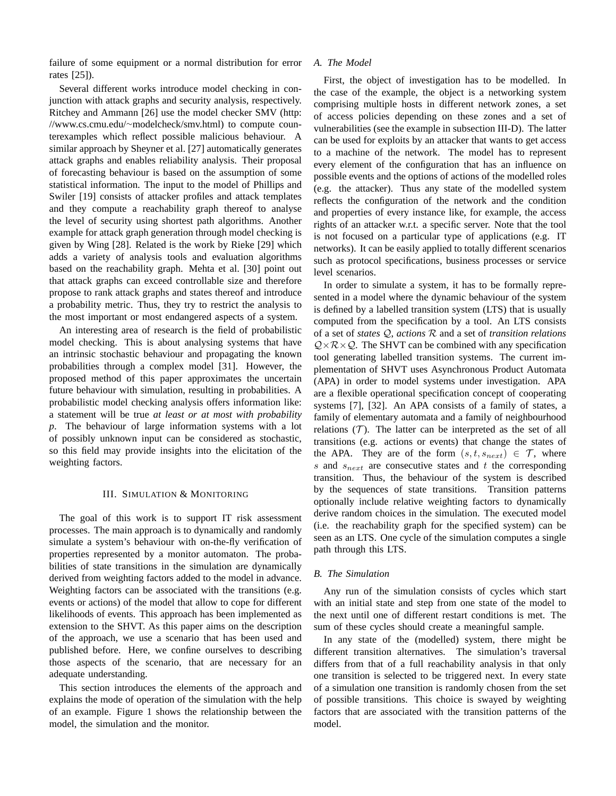failure of some equipment or a normal distribution for error rates [25]).

Several different works introduce model checking in conjunction with attack graphs and security analysis, respectively. Ritchey and Ammann [26] use the model checker SMV (http: //www.cs.cmu.edu/∼modelcheck/smv.html) to compute counterexamples which reflect possible malicious behaviour. A similar approach by Sheyner et al. [27] automatically generates attack graphs and enables reliability analysis. Their proposal of forecasting behaviour is based on the assumption of some statistical information. The input to the model of Phillips and Swiler [19] consists of attacker profiles and attack templates and they compute a reachability graph thereof to analyse the level of security using shortest path algorithms. Another example for attack graph generation through model checking is given by Wing [28]. Related is the work by Rieke [29] which adds a variety of analysis tools and evaluation algorithms based on the reachability graph. Mehta et al. [30] point out that attack graphs can exceed controllable size and therefore propose to rank attack graphs and states thereof and introduce a probability metric. Thus, they try to restrict the analysis to the most important or most endangered aspects of a system.

An interesting area of research is the field of probabilistic model checking. This is about analysing systems that have an intrinsic stochastic behaviour and propagating the known probabilities through a complex model [31]. However, the proposed method of this paper approximates the uncertain future behaviour with simulation, resulting in probabilities. A probabilistic model checking analysis offers information like: a statement will be true *at least or at most with probability p*. The behaviour of large information systems with a lot of possibly unknown input can be considered as stochastic, so this field may provide insights into the elicitation of the weighting factors.

## III. SIMULATION & MONITORING

The goal of this work is to support IT risk assessment processes. The main approach is to dynamically and randomly simulate a system's behaviour with on-the-fly verification of properties represented by a monitor automaton. The probabilities of state transitions in the simulation are dynamically derived from weighting factors added to the model in advance. Weighting factors can be associated with the transitions (e.g. events or actions) of the model that allow to cope for different likelihoods of events. This approach has been implemented as extension to the SHVT. As this paper aims on the description of the approach, we use a scenario that has been used and published before. Here, we confine ourselves to describing those aspects of the scenario, that are necessary for an adequate understanding.

This section introduces the elements of the approach and explains the mode of operation of the simulation with the help of an example. Figure 1 shows the relationship between the model, the simulation and the monitor.

## *A. The Model*

First, the object of investigation has to be modelled. In the case of the example, the object is a networking system comprising multiple hosts in different network zones, a set of access policies depending on these zones and a set of vulnerabilities (see the example in subsection III-D). The latter can be used for exploits by an attacker that wants to get access to a machine of the network. The model has to represent every element of the configuration that has an influence on possible events and the options of actions of the modelled roles (e.g. the attacker). Thus any state of the modelled system reflects the configuration of the network and the condition and properties of every instance like, for example, the access rights of an attacker w.r.t. a specific server. Note that the tool is not focused on a particular type of applications (e.g. IT networks). It can be easily applied to totally different scenarios such as protocol specifications, business processes or service level scenarios.

In order to simulate a system, it has to be formally represented in a model where the dynamic behaviour of the system is defined by a labelled transition system (LTS) that is usually computed from the specification by a tool. An LTS consists of a set of *states* Q, *actions* R and a set of *transition relations*  $Q \times R \times Q$ . The SHVT can be combined with any specification tool generating labelled transition systems. The current implementation of SHVT uses Asynchronous Product Automata (APA) in order to model systems under investigation. APA are a flexible operational specification concept of cooperating systems [7], [32]. An APA consists of a family of states, a family of elementary automata and a family of neighbourhood relations  $(T)$ . The latter can be interpreted as the set of all transitions (e.g. actions or events) that change the states of the APA. They are of the form  $(s, t, s_{next}) \in \mathcal{T}$ , where s and  $s_{next}$  are consecutive states and t the corresponding transition. Thus, the behaviour of the system is described by the sequences of state transitions. Transition patterns optionally include relative weighting factors to dynamically derive random choices in the simulation. The executed model (i.e. the reachability graph for the specified system) can be seen as an LTS. One cycle of the simulation computes a single path through this LTS.

## *B. The Simulation*

Any run of the simulation consists of cycles which start with an initial state and step from one state of the model to the next until one of different restart conditions is met. The sum of these cycles should create a meaningful sample.

In any state of the (modelled) system, there might be different transition alternatives. The simulation's traversal differs from that of a full reachability analysis in that only one transition is selected to be triggered next. In every state of a simulation one transition is randomly chosen from the set of possible transitions. This choice is swayed by weighting factors that are associated with the transition patterns of the model.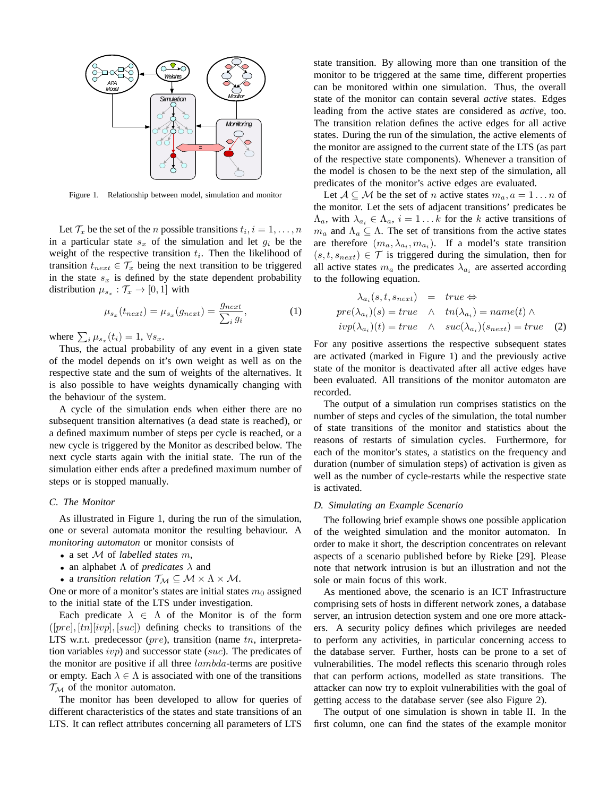

Figure 1. Relationship between model, simulation and monitor

Let  $\mathcal{T}_x$  be the set of the *n* possible transitions  $t_i, i = 1, \ldots, n$ in a particular state  $s_x$  of the simulation and let  $g_i$  be the weight of the respective transition  $t_i$ . Then the likelihood of transition  $t_{next} \in \mathcal{T}_x$  being the next transition to be triggered in the state  $s_x$  is defined by the state dependent probability distribution  $\mu_{s_x} : \mathcal{T}_x \to [0,1]$  with

$$
\mu_{s_x}(t_{next}) = \mu_{s_x}(g_{next}) = \frac{g_{next}}{\sum_i g_i},\tag{1}
$$

where  $\sum_i \mu_{s_x}(t_i) = 1, \forall s_x$ .

Thus, the actual probability of any event in a given state of the model depends on it's own weight as well as on the respective state and the sum of weights of the alternatives. It is also possible to have weights dynamically changing with the behaviour of the system.

A cycle of the simulation ends when either there are no subsequent transition alternatives (a dead state is reached), or a defined maximum number of steps per cycle is reached, or a new cycle is triggered by the Monitor as described below. The next cycle starts again with the initial state. The run of the simulation either ends after a predefined maximum number of steps or is stopped manually.

## *C. The Monitor*

As illustrated in Figure 1, during the run of the simulation, one or several automata monitor the resulting behaviour. A *monitoring automaton* or monitor consists of

- a set M of *labelled states* m,
- an alphabet  $\Lambda$  of *predicates*  $\lambda$  and
- a *transition relation*  $\mathcal{T}_{\mathcal{M}} \subseteq \mathcal{M} \times \Lambda \times \mathcal{M}$ .

One or more of a monitor's states are initial states  $m_0$  assigned to the initial state of the LTS under investigation.

Each predicate  $\lambda \in \Lambda$  of the Monitor is of the form  $([pre], [tn][ivp], [suc])$  defining checks to transitions of the LTS w.r.t. predecessor  $(pre)$ , transition (name  $tn$ , interpretation variables  $ivp$ ) and successor state (suc). The predicates of the monitor are positive if all three  $lambda$ -terms are positive or empty. Each  $\lambda \in \Lambda$  is associated with one of the transitions  $\mathcal{T}_{\mathcal{M}}$  of the monitor automaton.

The monitor has been developed to allow for queries of different characteristics of the states and state transitions of an LTS. It can reflect attributes concerning all parameters of LTS

state transition. By allowing more than one transition of the monitor to be triggered at the same time, different properties can be monitored within one simulation. Thus, the overall state of the monitor can contain several *active* states. Edges leading from the active states are considered as *active*, too. The transition relation defines the active edges for all active states. During the run of the simulation, the active elements of the monitor are assigned to the current state of the LTS (as part of the respective state components). Whenever a transition of the model is chosen to be the next step of the simulation, all predicates of the monitor's active edges are evaluated.

Let  $A \subseteq M$  be the set of n active states  $m_a, a = 1 \dots n$  of the monitor. Let the sets of adjacent transitions' predicates be  $\Lambda_a$ , with  $\lambda_{a_i} \in \Lambda_a$ ,  $i = 1...k$  for the k active transitions of  $m_a$  and  $\Lambda_a \subseteq \Lambda$ . The set of transitions from the active states are therefore  $(m_a, \lambda_{a_i}, m_{a_i})$ . If a model's state transition  $(s, t, s_{next}) \in \mathcal{T}$  is triggered during the simulation, then for all active states  $m_a$  the predicates  $\lambda_{a_i}$  are asserted according to the following equation.

$$
\lambda_{a_i}(s, t, s_{next}) = true \Leftrightarrow
$$
  
pre( $\lambda_{a_i}$ )(s) = true  $\wedge$  tn( $\lambda_{a_i}$ ) = name(t)  $\wedge$   
ivp( $\lambda_{a_i}$ )(t) = true  $\wedge$  suc( $\lambda_{a_i}$ )(s\_{next}) = true (2)

For any positive assertions the respective subsequent states are activated (marked in Figure 1) and the previously active state of the monitor is deactivated after all active edges have been evaluated. All transitions of the monitor automaton are recorded.

The output of a simulation run comprises statistics on the number of steps and cycles of the simulation, the total number of state transitions of the monitor and statistics about the reasons of restarts of simulation cycles. Furthermore, for each of the monitor's states, a statistics on the frequency and duration (number of simulation steps) of activation is given as well as the number of cycle-restarts while the respective state is activated.

#### *D. Simulating an Example Scenario*

The following brief example shows one possible application of the weighted simulation and the monitor automaton. In order to make it short, the description concentrates on relevant aspects of a scenario published before by Rieke [29]. Please note that network intrusion is but an illustration and not the sole or main focus of this work.

As mentioned above, the scenario is an ICT Infrastructure comprising sets of hosts in different network zones, a database server, an intrusion detection system and one ore more attackers. A security policy defines which privileges are needed to perform any activities, in particular concerning access to the database server. Further, hosts can be prone to a set of vulnerabilities. The model reflects this scenario through roles that can perform actions, modelled as state transitions. The attacker can now try to exploit vulnerabilities with the goal of getting access to the database server (see also Figure 2).

The output of one simulation is shown in table II. In the first column, one can find the states of the example monitor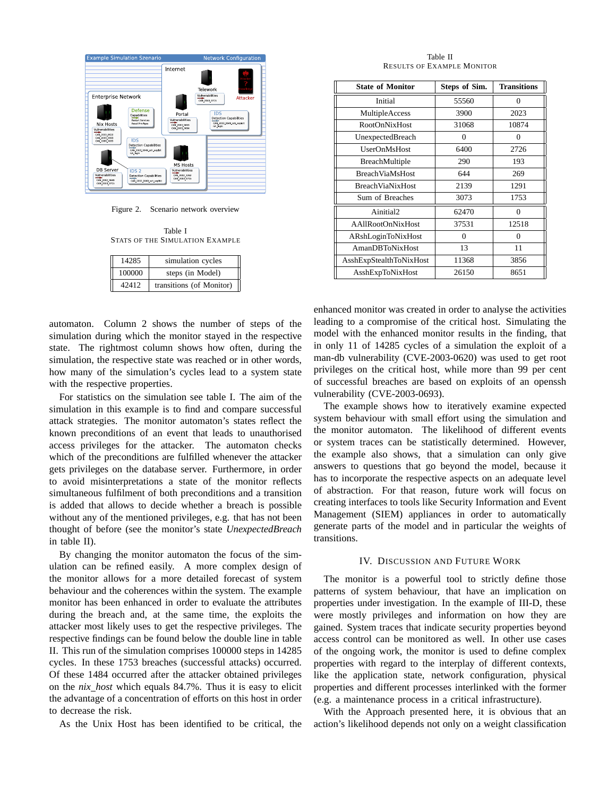

Figure 2. Scenario network overview

Table I STATS OF THE SIMULATION EXAMPLE

| 14285  | simulation cycles        |
|--------|--------------------------|
| 100000 | steps (in Model)         |
| 42412  | transitions (of Monitor) |

automaton. Column 2 shows the number of steps of the simulation during which the monitor stayed in the respective state. The rightmost column shows how often, during the simulation, the respective state was reached or in other words, how many of the simulation's cycles lead to a system state with the respective properties.

For statistics on the simulation see table I. The aim of the simulation in this example is to find and compare successful attack strategies. The monitor automaton's states reflect the known preconditions of an event that leads to unauthorised access privileges for the attacker. The automaton checks which of the preconditions are fulfilled whenever the attacker gets privileges on the database server. Furthermore, in order to avoid misinterpretations a state of the monitor reflects simultaneous fulfilment of both preconditions and a transition is added that allows to decide whether a breach is possible without any of the mentioned privileges, e.g. that has not been thought of before (see the monitor's state *UnexpectedBreach* in table II).

By changing the monitor automaton the focus of the simulation can be refined easily. A more complex design of the monitor allows for a more detailed forecast of system behaviour and the coherences within the system. The example monitor has been enhanced in order to evaluate the attributes during the breach and, at the same time, the exploits the attacker most likely uses to get the respective privileges. The respective findings can be found below the double line in table II. This run of the simulation comprises 100000 steps in 14285 cycles. In these 1753 breaches (successful attacks) occurred. Of these 1484 occurred after the attacker obtained privileges on the *nix host* which equals 84.7%. Thus it is easy to elicit the advantage of a concentration of efforts on this host in order to decrease the risk.

As the Unix Host has been identified to be critical, the

Table II RESULTS OF EXAMPLE MONITOR

| <b>State of Monitor</b>  | Steps of Sim. | <b>Transitions</b> |
|--------------------------|---------------|--------------------|
| Initial                  | 55560         | $^{(1)}$           |
| MultipleAccess           | 3900          | 2023               |
| RootOnNixHost            | 31068         | 10874              |
| UnexpectedBreach         | 0             | 0                  |
| <b>UserOnMsHost</b>      | 6400          | 2726               |
| BreachMultiple           | 290           | 193                |
| <b>BreachViaMsHost</b>   | 644           | 269                |
| <b>BreachViaNixHost</b>  | 2139          | 1291               |
| Sum of Breaches          | 3073          | 1753               |
| Ainitial2                | 62470         | 0                  |
| <b>AAllRootOnNixHost</b> | 37531         | 12518              |
| ARshLoginToNixHost       | 0             | 0                  |
| AmanDBToNixHost          | 13            | 11                 |
| AsshExpStealthToNixHost  | 11368         | 3856               |
| AsshExpToNixHost         | 26150         | 8651               |

enhanced monitor was created in order to analyse the activities leading to a compromise of the critical host. Simulating the model with the enhanced monitor results in the finding, that in only 11 of 14285 cycles of a simulation the exploit of a man-db vulnerability (CVE-2003-0620) was used to get root privileges on the critical host, while more than 99 per cent of successful breaches are based on exploits of an openssh vulnerability (CVE-2003-0693).

The example shows how to iteratively examine expected system behaviour with small effort using the simulation and the monitor automaton. The likelihood of different events or system traces can be statistically determined. However, the example also shows, that a simulation can only give answers to questions that go beyond the model, because it has to incorporate the respective aspects on an adequate level of abstraction. For that reason, future work will focus on creating interfaces to tools like Security Information and Event Management (SIEM) appliances in order to automatically generate parts of the model and in particular the weights of transitions.

## IV. DISCUSSION AND FUTURE WORK

The monitor is a powerful tool to strictly define those patterns of system behaviour, that have an implication on properties under investigation. In the example of III-D, these were mostly privileges and information on how they are gained. System traces that indicate security properties beyond access control can be monitored as well. In other use cases of the ongoing work, the monitor is used to define complex properties with regard to the interplay of different contexts, like the application state, network configuration, physical properties and different processes interlinked with the former (e.g. a maintenance process in a critical infrastructure).

With the Approach presented here, it is obvious that an action's likelihood depends not only on a weight classification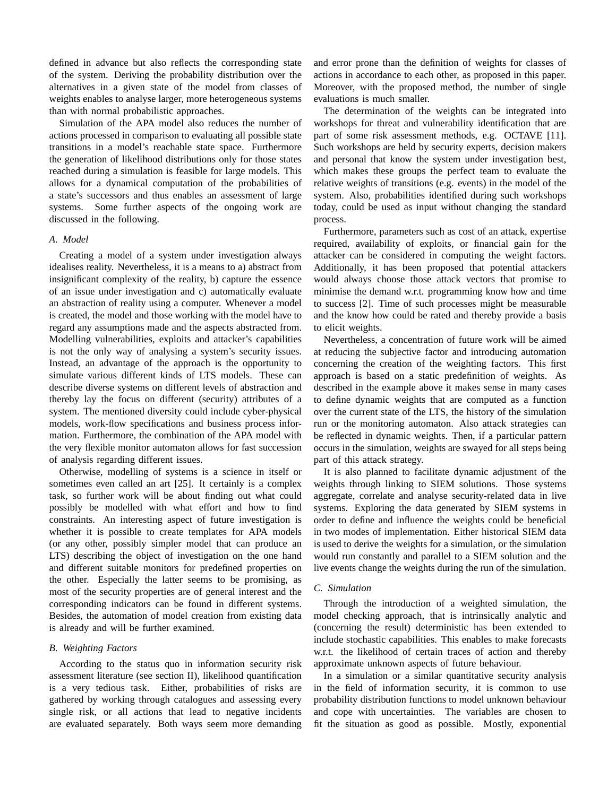defined in advance but also reflects the corresponding state of the system. Deriving the probability distribution over the alternatives in a given state of the model from classes of weights enables to analyse larger, more heterogeneous systems than with normal probabilistic approaches.

Simulation of the APA model also reduces the number of actions processed in comparison to evaluating all possible state transitions in a model's reachable state space. Furthermore the generation of likelihood distributions only for those states reached during a simulation is feasible for large models. This allows for a dynamical computation of the probabilities of a state's successors and thus enables an assessment of large systems. Some further aspects of the ongoing work are discussed in the following.

## *A. Model*

Creating a model of a system under investigation always idealises reality. Nevertheless, it is a means to a) abstract from insignificant complexity of the reality, b) capture the essence of an issue under investigation and c) automatically evaluate an abstraction of reality using a computer. Whenever a model is created, the model and those working with the model have to regard any assumptions made and the aspects abstracted from. Modelling vulnerabilities, exploits and attacker's capabilities is not the only way of analysing a system's security issues. Instead, an advantage of the approach is the opportunity to simulate various different kinds of LTS models. These can describe diverse systems on different levels of abstraction and thereby lay the focus on different (security) attributes of a system. The mentioned diversity could include cyber-physical models, work-flow specifications and business process information. Furthermore, the combination of the APA model with the very flexible monitor automaton allows for fast succession of analysis regarding different issues.

Otherwise, modelling of systems is a science in itself or sometimes even called an art [25]. It certainly is a complex task, so further work will be about finding out what could possibly be modelled with what effort and how to find constraints. An interesting aspect of future investigation is whether it is possible to create templates for APA models (or any other, possibly simpler model that can produce an LTS) describing the object of investigation on the one hand and different suitable monitors for predefined properties on the other. Especially the latter seems to be promising, as most of the security properties are of general interest and the corresponding indicators can be found in different systems. Besides, the automation of model creation from existing data is already and will be further examined.

## *B. Weighting Factors*

According to the status quo in information security risk assessment literature (see section II), likelihood quantification is a very tedious task. Either, probabilities of risks are gathered by working through catalogues and assessing every single risk, or all actions that lead to negative incidents are evaluated separately. Both ways seem more demanding and error prone than the definition of weights for classes of actions in accordance to each other, as proposed in this paper. Moreover, with the proposed method, the number of single evaluations is much smaller.

The determination of the weights can be integrated into workshops for threat and vulnerability identification that are part of some risk assessment methods, e.g. OCTAVE [11]. Such workshops are held by security experts, decision makers and personal that know the system under investigation best, which makes these groups the perfect team to evaluate the relative weights of transitions (e.g. events) in the model of the system. Also, probabilities identified during such workshops today, could be used as input without changing the standard process.

Furthermore, parameters such as cost of an attack, expertise required, availability of exploits, or financial gain for the attacker can be considered in computing the weight factors. Additionally, it has been proposed that potential attackers would always choose those attack vectors that promise to minimise the demand w.r.t. programming know how and time to success [2]. Time of such processes might be measurable and the know how could be rated and thereby provide a basis to elicit weights.

Nevertheless, a concentration of future work will be aimed at reducing the subjective factor and introducing automation concerning the creation of the weighting factors. This first approach is based on a static predefinition of weights. As described in the example above it makes sense in many cases to define dynamic weights that are computed as a function over the current state of the LTS, the history of the simulation run or the monitoring automaton. Also attack strategies can be reflected in dynamic weights. Then, if a particular pattern occurs in the simulation, weights are swayed for all steps being part of this attack strategy.

It is also planned to facilitate dynamic adjustment of the weights through linking to SIEM solutions. Those systems aggregate, correlate and analyse security-related data in live systems. Exploring the data generated by SIEM systems in order to define and influence the weights could be beneficial in two modes of implementation. Either historical SIEM data is used to derive the weights for a simulation, or the simulation would run constantly and parallel to a SIEM solution and the live events change the weights during the run of the simulation.

# *C. Simulation*

Through the introduction of a weighted simulation, the model checking approach, that is intrinsically analytic and (concerning the result) deterministic has been extended to include stochastic capabilities. This enables to make forecasts w.r.t. the likelihood of certain traces of action and thereby approximate unknown aspects of future behaviour.

In a simulation or a similar quantitative security analysis in the field of information security, it is common to use probability distribution functions to model unknown behaviour and cope with uncertainties. The variables are chosen to fit the situation as good as possible. Mostly, exponential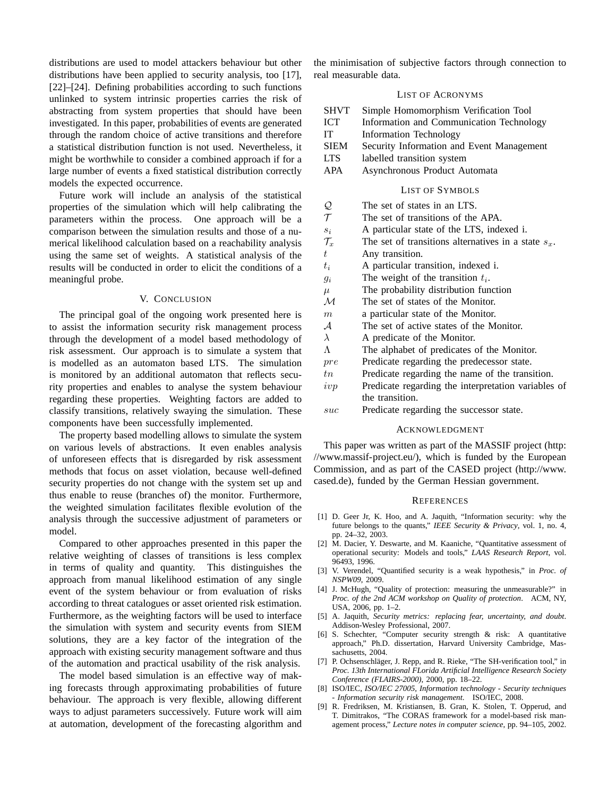distributions are used to model attackers behaviour but other distributions have been applied to security analysis, too [17], [22]–[24]. Defining probabilities according to such functions unlinked to system intrinsic properties carries the risk of abstracting from system properties that should have been investigated. In this paper, probabilities of events are generated through the random choice of active transitions and therefore a statistical distribution function is not used. Nevertheless, it might be worthwhile to consider a combined approach if for a large number of events a fixed statistical distribution correctly models the expected occurrence.

Future work will include an analysis of the statistical properties of the simulation which will help calibrating the parameters within the process. One approach will be a comparison between the simulation results and those of a numerical likelihood calculation based on a reachability analysis using the same set of weights. A statistical analysis of the results will be conducted in order to elicit the conditions of a meaningful probe.

## V. CONCLUSION

The principal goal of the ongoing work presented here is to assist the information security risk management process through the development of a model based methodology of risk assessment. Our approach is to simulate a system that is modelled as an automaton based LTS. The simulation is monitored by an additional automaton that reflects security properties and enables to analyse the system behaviour regarding these properties. Weighting factors are added to classify transitions, relatively swaying the simulation. These components have been successfully implemented.

The property based modelling allows to simulate the system on various levels of abstractions. It even enables analysis of unforeseen effects that is disregarded by risk assessment methods that focus on asset violation, because well-defined security properties do not change with the system set up and thus enable to reuse (branches of) the monitor. Furthermore, the weighted simulation facilitates flexible evolution of the analysis through the successive adjustment of parameters or model.

Compared to other approaches presented in this paper the relative weighting of classes of transitions is less complex in terms of quality and quantity. This distinguishes the approach from manual likelihood estimation of any single event of the system behaviour or from evaluation of risks according to threat catalogues or asset oriented risk estimation. Furthermore, as the weighting factors will be used to interface the simulation with system and security events from SIEM solutions, they are a key factor of the integration of the approach with existing security management software and thus of the automation and practical usability of the risk analysis.

The model based simulation is an effective way of making forecasts through approximating probabilities of future behaviour. The approach is very flexible, allowing different ways to adjust parameters successively. Future work will aim at automation, development of the forecasting algorithm and

the minimisation of subjective factors through connection to real measurable data.

#### LIST OF ACRONYMS

| <b>SHVT</b> | Simple Homomorphism Verification Tool     |
|-------------|-------------------------------------------|
| <b>ICT</b>  | Information and Communication Technology  |
| IТ          | Information Technology                    |
| <b>SIEM</b> | Security Information and Event Management |
| <b>LTS</b>  | labelled transition system                |
| APA         | Asynchronous Product Automata             |
|             |                                           |

## LIST OF SYMBOLS

| Q               | The set of states in an LTS.                           |
|-----------------|--------------------------------------------------------|
| $\mathcal T$    | The set of transitions of the APA.                     |
| $s_i$           | A particular state of the LTS, indexed i.              |
| $\mathcal{T}_x$ | The set of transitions alternatives in a state $s_x$ . |
| t               | Any transition.                                        |
| $t_i$           | A particular transition, indexed i.                    |
| $g_i$           | The weight of the transition $t_i$ .                   |
| $\mu$           | The probability distribution function                  |
| $\mathcal M$    | The set of states of the Monitor.                      |
| $\,m$           | a particular state of the Monitor.                     |
| ${\cal A}$      | The set of active states of the Monitor.               |
| $\lambda$       | A predicate of the Monitor.                            |
| Λ               | The alphabet of predicates of the Monitor.             |
| pre             | Predicate regarding the predecessor state.             |
| t n             | Predicate regarding the name of the transition.        |
| ivp             | Predicate regarding the interpretation variables of    |
|                 | the transition.                                        |

suc Predicate regarding the successor state.

### ACKNOWLEDGMENT

This paper was written as part of the MASSIF project (http: //www.massif-project.eu/), which is funded by the European Commission, and as part of the CASED project (http://www. cased.de), funded by the German Hessian government.

#### **REFERENCES**

- [1] D. Geer Jr, K. Hoo, and A. Jaquith, "Information security: why the future belongs to the quants," *IEEE Security & Privacy*, vol. 1, no. 4, pp. 24–32, 2003.
- [2] M. Dacier, Y. Deswarte, and M. Kaaniche, "Quantitative assessment of operational security: Models and tools," *LAAS Research Report*, vol. 96493, 1996.
- [3] V. Verendel, "Quantified security is a weak hypothesis," in *Proc. of NSPW09*, 2009.
- [4] J. McHugh, "Quality of protection: measuring the unmeasurable?" in *Proc. of the 2nd ACM workshop on Quality of protection*. ACM, NY, USA, 2006, pp. 1–2.
- [5] A. Jaquith, *Security metrics: replacing fear, uncertainty, and doubt*. Addison-Wesley Professional, 2007.
- [6] S. Schechter, "Computer security strength & risk: A quantitative approach," Ph.D. dissertation, Harvard University Cambridge, Massachusetts, 2004.
- [7] P. Ochsenschläger, J. Repp, and R. Rieke, "The SH-verification tool," in *Proc. 13th International FLorida Artificial Intelligence Research Society Conference (FLAIRS-2000)*, 2000, pp. 18–22.
- [8] ISO/IEC, *ISO/IEC 27005, Information technology Security techniques - Information security risk management*. ISO/IEC, 2008.
- [9] R. Fredriksen, M. Kristiansen, B. Gran, K. Stolen, T. Opperud, and T. Dimitrakos, "The CORAS framework for a model-based risk management process," *Lecture notes in computer science*, pp. 94–105, 2002.